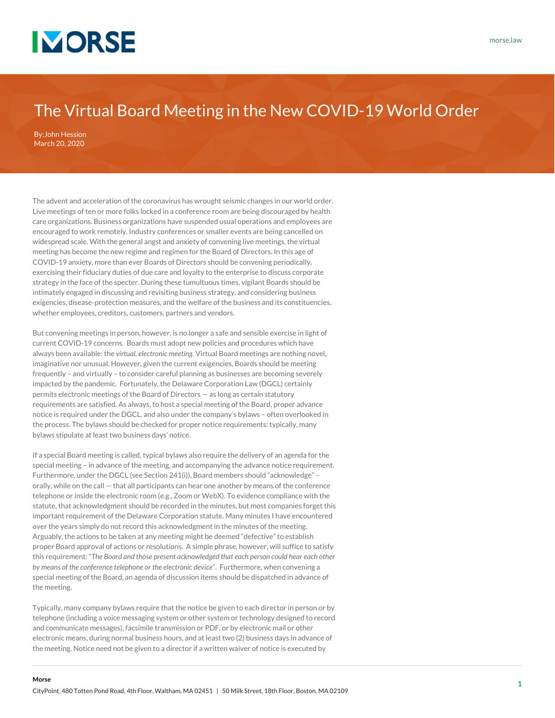

## The Virtual Board Meeting in the New COVID-19 World Order

By:[John Hession](https://www.morse.law/attorney/john-hession/) March 20, 2020

**Morse**

The advent and acceleration of the coronavirus has wrought seismic changes in our world order. Live meetings of ten or more folks locked in a conference room are being discouraged by health care organizations. Business organizations have suspended usual operations and employees are encouraged to work remotely. Industry conferences or smaller events are being cancelled on widespread scale. With the general angst and anxiety of convening live meetings, the virtual meeting has become the new regime and regimen for the Board of Directors. In this age of COVID-19 anxiety, more than ever Boards of Directors should be convening periodically, exercising their fiduciary duties of due care and loyalty to the enterprise to discuss corporate strategy in the face of the specter. During these tumultuous times, vigilant Boards should be intimately engaged in discussing and revisiting business strategy, and considering business exigencies, disease-protection measures, and the welfare of the business and its constituencies, whether employees, creditors, customers, partners and vendors.

But convening meetings in person, however, is no longer a safe and sensible exercise in light of current COVID-19 concerns. Boards must adopt new policies and procedures which have always been available: the *virtual, electronic meeting*. Virtual Board meetings are nothing novel, imaginative nor unusual. However, given the current exigencies, Boards should be meeting frequently – and virtually – to consider careful planning as businesses are becoming severely impacted by the pandemic. Fortunately, the Delaware Corporation Law (DGCL) certainly permits electronic meetings of the Board of Directors — as long as certain statutory requirements are satisfied. As always, to host a special meeting of the Board, proper advance notice is required under the DGCL, and also under the company's bylaws – often overlooked in the process. The bylaws should be checked for proper notice requirements: typically, many bylaws stipulate at least two business days' notice.

If a special Board meeting is called, typical bylaws also require the delivery of an agenda for the special meeting – in advance of the meeting, and accompanying the advance notice requirement. Furthermore, under the DGCL (see Section 241(i)), Board members should "acknowledge" – orally, while on the call — that all participants can hear one another by means of the conference telephone or inside the electronic room (e.g., Zoom or WebX). To evidence compliance with the statute, that acknowledgment should be recorded in the minutes, but most companies forget this important requirement of the Delaware Corporation statute. Many minutes I have encountered over the years simply do not record this acknowledgment in the minutes of the meeting. Arguably, the actions to be taken at any meeting might be deemed "defective" to establish proper Board approval of actions or resolutions. A simple phrase, however, will suffice to satisfy this requirement: "*The Board and those present acknowledged that each person could hear each other by means of the conference telephone or the electronic device*". Furthermore, when convening a special meeting of the Board, an agenda of discussion items should be dispatched in advance of the meeting.

Typically, many company bylaws require that the notice be given to each director in person or by telephone (including a voice messaging system or other system or technology designed to record and communicate messages), facsimile transmission or PDF, or by electronic mail or other electronic means, during normal business hours, and at least two (2) business days in advance of the meeting. Notice need not be given to a director if a written waiver of notice is executed by